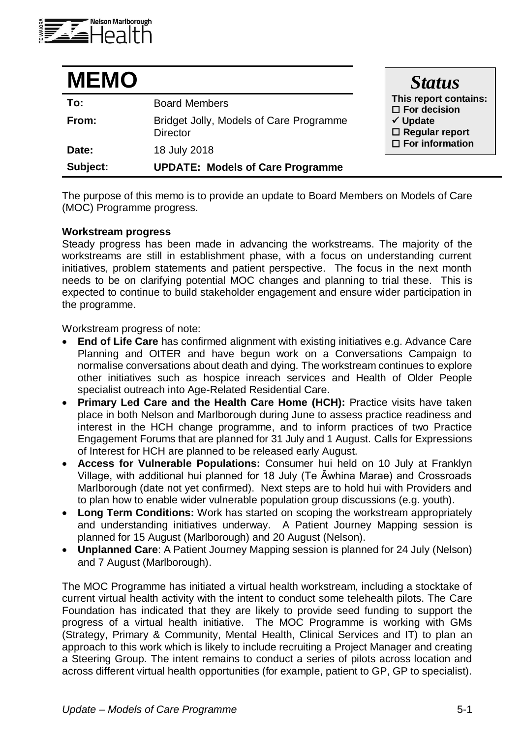

| <b>MEMO</b> |                                                            | <b>Status</b>                                                                                                                |
|-------------|------------------------------------------------------------|------------------------------------------------------------------------------------------------------------------------------|
| To:         | <b>Board Members</b>                                       | This report contains:<br>$\square$ For decision<br>$\checkmark$ Update<br>$\Box$ Regular report<br>$\square$ For information |
| From:       | Bridget Jolly, Models of Care Programme<br><b>Director</b> |                                                                                                                              |
| Date:       | 18 July 2018                                               |                                                                                                                              |
| Subject:    | <b>UPDATE: Models of Care Programme</b>                    |                                                                                                                              |

The purpose of this memo is to provide an update to Board Members on Models of Care (MOC) Programme progress.

#### **Workstream progress**

Steady progress has been made in advancing the workstreams. The majority of the workstreams are still in establishment phase, with a focus on understanding current initiatives, problem statements and patient perspective. The focus in the next month needs to be on clarifying potential MOC changes and planning to trial these. This is expected to continue to build stakeholder engagement and ensure wider participation in the programme.

Workstream progress of note:

- **End of Life Care** has confirmed alignment with existing initiatives e.g. Advance Care Planning and OtTER and have begun work on a Conversations Campaign to normalise conversations about death and dying. The workstream continues to explore other initiatives such as hospice inreach services and Health of Older People specialist outreach into Age-Related Residential Care.
- **Primary Led Care and the Health Care Home (HCH):** Practice visits have taken place in both Nelson and Marlborough during June to assess practice readiness and interest in the HCH change programme, and to inform practices of two Practice Engagement Forums that are planned for 31 July and 1 August. Calls for Expressions of Interest for HCH are planned to be released early August.
- **Access for Vulnerable Populations:** Consumer hui held on 10 July at Franklyn Village, with additional hui planned for 18 July (Te Āwhina Marae) and Crossroads Marlborough (date not yet confirmed). Next steps are to hold hui with Providers and to plan how to enable wider vulnerable population group discussions (e.g. youth).
- **Long Term Conditions:** Work has started on scoping the workstream appropriately and understanding initiatives underway. A Patient Journey Mapping session is planned for 15 August (Marlborough) and 20 August (Nelson).
- **Unplanned Care**: A Patient Journey Mapping session is planned for 24 July (Nelson) and 7 August (Marlborough).

The MOC Programme has initiated a virtual health workstream, including a stocktake of current virtual health activity with the intent to conduct some telehealth pilots. The Care Foundation has indicated that they are likely to provide seed funding to support the progress of a virtual health initiative. The MOC Programme is working with GMs (Strategy, Primary & Community, Mental Health, Clinical Services and IT) to plan an approach to this work which is likely to include recruiting a Project Manager and creating a Steering Group. The intent remains to conduct a series of pilots across location and across different virtual health opportunities (for example, patient to GP, GP to specialist).